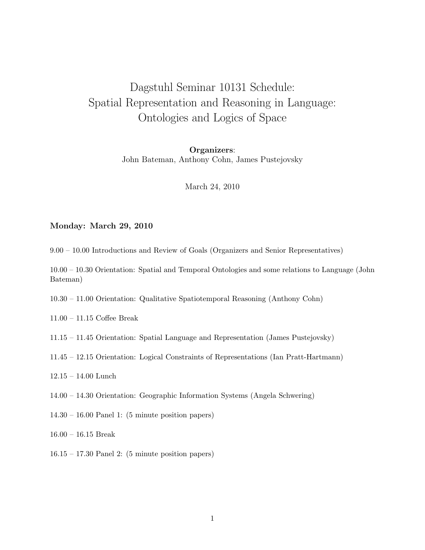# Dagstuhl Seminar 10131 Schedule: Spatial Representation and Reasoning in Language: Ontologies and Logics of Space

Organizers: John Bateman, Anthony Cohn, James Pustejovsky

March 24, 2010

### Monday: March 29, 2010

9.00 – 10.00 Introductions and Review of Goals (Organizers and Senior Representatives)

10.00 – 10.30 Orientation: Spatial and Temporal Ontologies and some relations to Language (John Bateman)

10.30 – 11.00 Orientation: Qualitative Spatiotemporal Reasoning (Anthony Cohn)

- 11.00 11.15 Coffee Break
- 11.15 11.45 Orientation: Spatial Language and Representation (James Pustejovsky)
- 11.45 12.15 Orientation: Logical Constraints of Representations (Ian Pratt-Hartmann)
- 12.15 14.00 Lunch
- 14.00 14.30 Orientation: Geographic Information Systems (Angela Schwering)
- 14.30 16.00 Panel 1: (5 minute position papers)
- 16.00 16.15 Break
- 16.15 17.30 Panel 2: (5 minute position papers)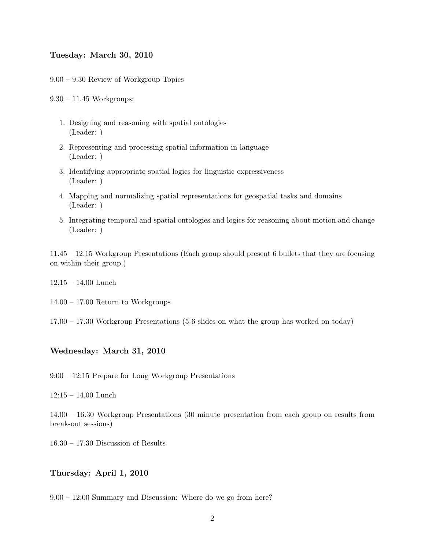# Tuesday: March 30, 2010

9.00 – 9.30 Review of Workgroup Topics

9.30 – 11.45 Workgroups:

- 1. Designing and reasoning with spatial ontologies (Leader: )
- 2. Representing and processing spatial information in language (Leader: )
- 3. Identifying appropriate spatial logics for linguistic expressiveness (Leader: )
- 4. Mapping and normalizing spatial representations for geospatial tasks and domains (Leader: )
- 5. Integrating temporal and spatial ontologies and logics for reasoning about motion and change (Leader: )

11.45 – 12.15 Workgroup Presentations (Each group should present 6 bullets that they are focusing on within their group.)

12.15 – 14.00 Lunch

14.00 – 17.00 Return to Workgroups

17.00 – 17.30 Workgroup Presentations (5-6 slides on what the group has worked on today)

# Wednesday: March 31, 2010

9:00 – 12:15 Prepare for Long Workgroup Presentations

12:15 – 14.00 Lunch

14.00 – 16.30 Workgroup Presentations (30 minute presentation from each group on results from break-out sessions)

16.30 – 17.30 Discussion of Results

### Thursday: April 1, 2010

9.00 – 12:00 Summary and Discussion: Where do we go from here?